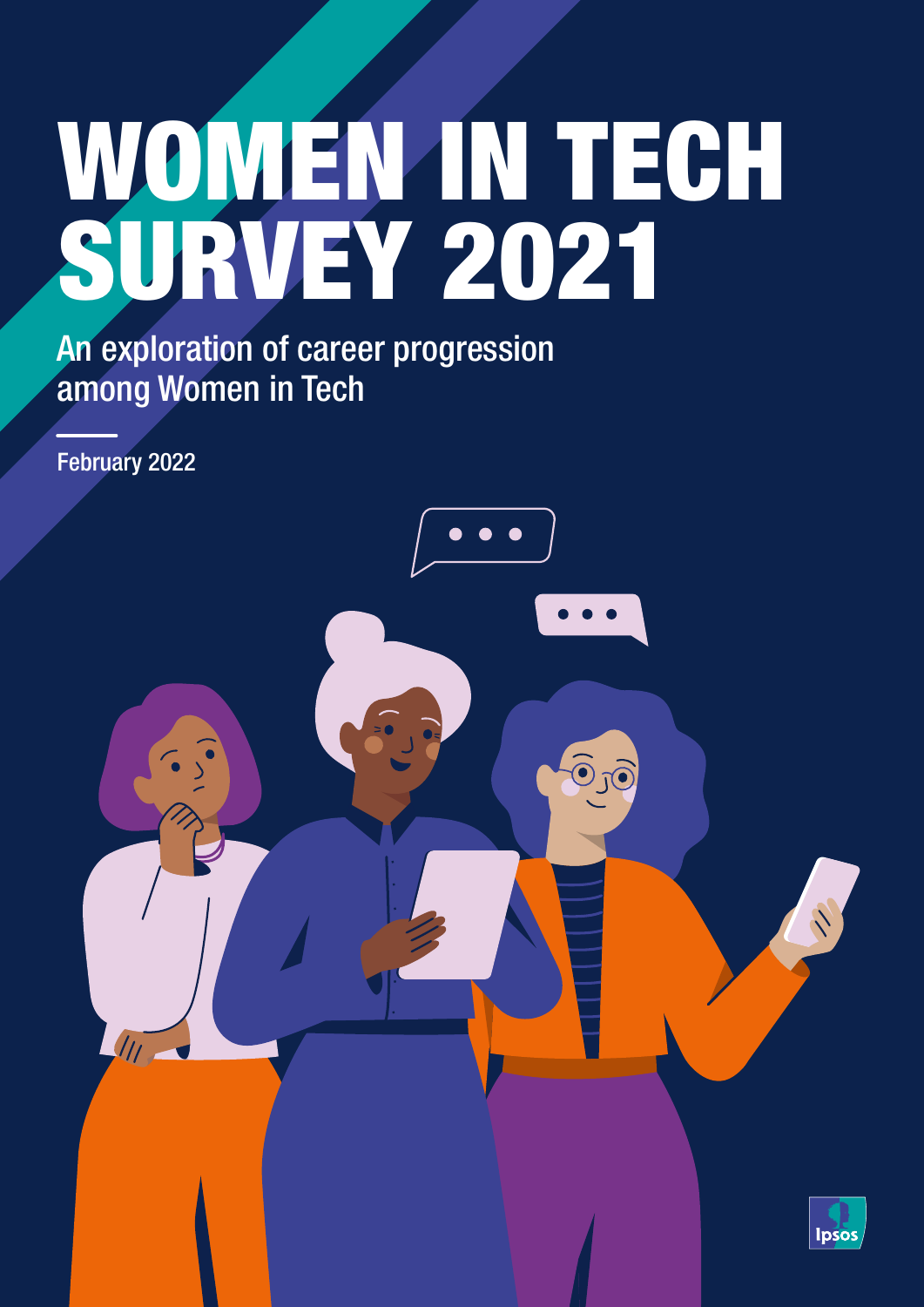# WOMEN IN TECH SURVEY 2021

An exploration of career progression among Women in Tech

February 2022



 $\bullet\bullet$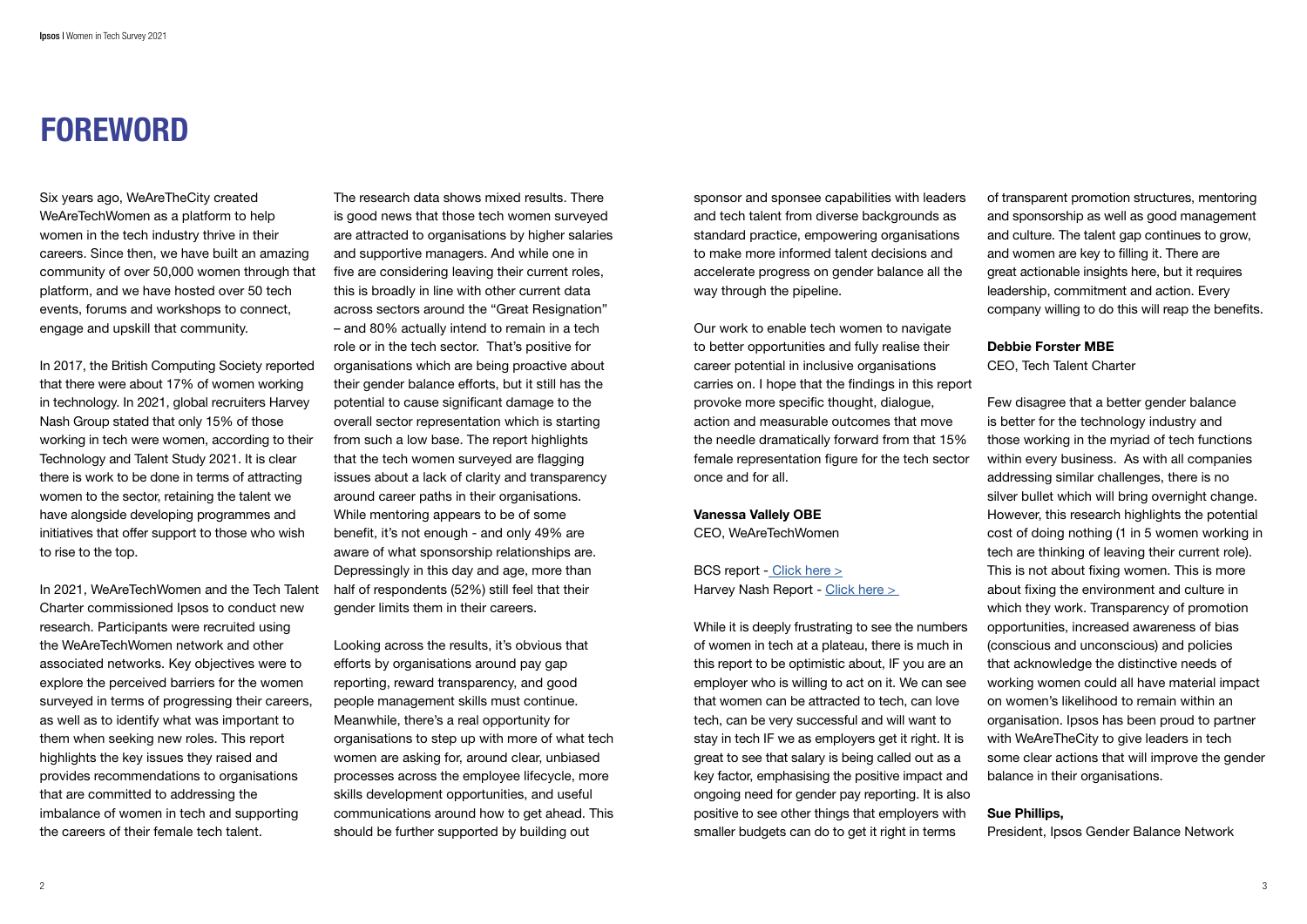# FOREWORD

Six years ago, WeAreTheCity created WeAreTechWomen as a platform to help women in the tech industry thrive in their careers. Since then, we have built an amazing community of over 50,000 women through that platform, and we have hosted over 50 tech events, forums and workshops to connect, engage and upskill that community.

In 2017, the British Computing Society reported that there were about 17% of women working in technology. In 2021, global recruiters Harvey Nash Group stated that only 15% of those working in tech were women, according to their Technology and Talent Study 2021. It is clear there is work to be done in terms of attracting women to the sector, retaining the talent we have alongside developing programmes and initiatives that offer support to those who wish to rise to the top.

In 2021, WeAreTechWomen and the Tech Talent Charter commissioned Ipsos to conduct new research. Participants were recruited using the WeAreTechWomen network and other associated networks. Key objectives were to explore the perceived barriers for the women surveyed in terms of progressing their careers, as well as to identify what was important to them when seeking new roles. This report highlights the key issues they raised and provides recommendations to organisations that are committed to addressing the imbalance of women in tech and supporting the careers of their female tech talent.

The research data shows mixed results. There is good news that those tech women surveyed are attracted to organisations by higher salaries and supportive managers. And while one in five are considering leaving their current roles, this is broadly in line with other current data across sectors around the "Great Resignation" – and 80% actually intend to remain in a tech role or in the tech sector. That's positive for organisations which are being proactive about their gender balance efforts, but it still has the potential to cause significant damage to the overall sector representation which is starting from such a low base. The report highlights that the tech women surveyed are flagging issues about a lack of clarity and transparency around career paths in their organisations. While mentoring appears to be of some benefit, it's not enough - and only 49% are aware of what sponsorship relationships are. Depressingly in this day and age, more than half of respondents (52%) still feel that their gender limits them in their careers.

Looking across the results, it's obvious that efforts by organisations around pay gap reporting, reward transparency, and good people management skills must continue. Meanwhile, there's a real opportunity for organisations to step up with more of what tech women are asking for, around clear, unbiased processes across the employee lifecycle, more skills development opportunities, and useful communications around how to get ahead. This should be further supported by building out

sponsor and sponsee capabilities with leaders and tech talent from diverse backgrounds as standard practice, empowering organisations to make more informed talent decisions and accelerate progress on gender balance all the way through the pipeline.

Our work to enable tech women to navigate to better opportunities and fully realise their career potential in inclusive organisations carries on. I hope that the findings in this report provoke more specific thought, dialogue, action and measurable outcomes that move the needle dramatically forward from that 15% female representation figure for the tech sector once and for all.

### Vanessa Vallely OBE

CEO, WeAreTechWomen

BCS report [- Click here >](https://www.bcs.org/media/4050/diversity-report-2017.pdf) Harvey Nash Report - [Click here >](https://assets.website-files.com/5da4969031ca1beeb3e008e0/606c68004ad5b623de6be5f7_HarveyNashGroupTT2021a.pdf)  of transparent promotion structures, mentoring and sponsorship as well as good management and culture. The talent gap continues to grow, and women are key to filling it. There are great actionable insights here, but it requires leadership, commitment and action. Every company willing to do this will reap the benefits.

### Debbie Forster MBE

CEO, Tech Talent Charter

While it is deeply frustrating to see the numbers of women in tech at a plateau, there is much in this report to be optimistic about, IF you are an employer who is willing to act on it. We can see that women can be attracted to tech, can love tech, can be very successful and will want to stay in tech IF we as employers get it right. It is great to see that salary is being called out as a key factor, emphasising the positive impact and ongoing need for gender pay reporting. It is also positive to see other things that employers with smaller budgets can do to get it right in terms (conscious and unconscious) and policies that acknowledge the distinctive needs of on women's likelihood to remain within an with WeAreTheCity to give leaders in tech balance in their organisations. Sue Phillips, President, Ipsos Gender Balance Network

Few disagree that a better gender balance is better for the technology industry and those working in the myriad of tech functions within every business. As with all companies addressing similar challenges, there is no silver bullet which will bring overnight change. However, this research highlights the potential cost of doing nothing (1 in 5 women working in tech are thinking of leaving their current role). This is not about fixing women. This is more about fixing the environment and culture in which they work. Transparency of promotion opportunities, increased awareness of bias working women could all have material impact organisation. Ipsos has been proud to partner some clear actions that will improve the gender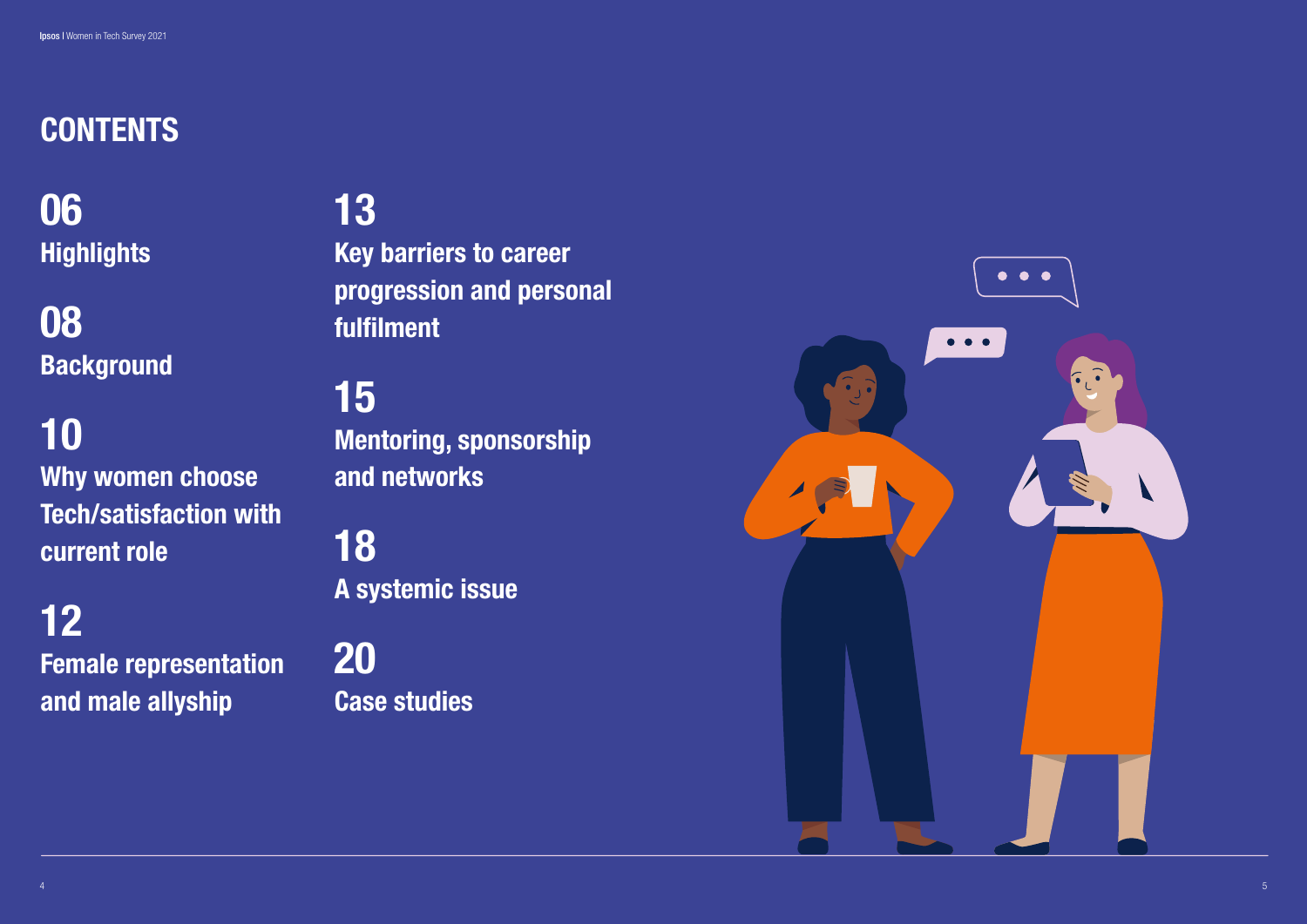06 **Highlights** 

08 **Background** 

# CONTENTS

# 10 Why women choose Tech/satisfaction with current role

12 Female representation and male allyship

# 13

Key barriers to career progression and personal fulfilment

15 Mentoring, sponsorship and networks

18 A systemic issue

20 Case studies

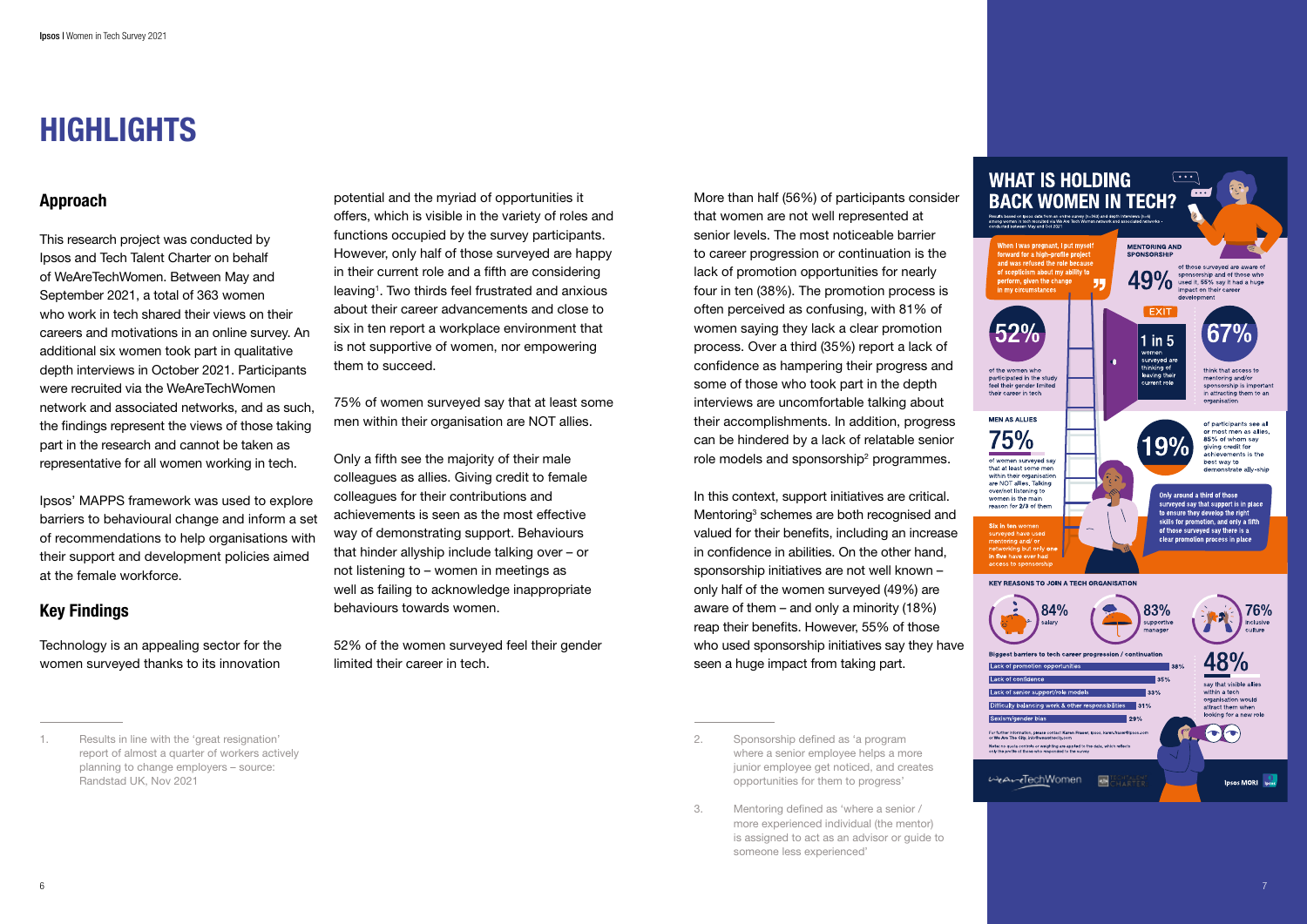

7

# HIGHLIGHTS

### Approach

This research project was conducted by Ipsos and Tech Talent Charter on behalf of WeAreTechWomen. Between May and September 2021, a total of 363 women who work in tech shared their views on their careers and motivations in an online survey. An additional six women took part in qualitative depth interviews in October 2021. Participants were recruited via the WeAreTechWomen network and associated networks, and as such, the findings represent the views of those taking part in the research and cannot be taken as representative for all women working in tech.

Ipsos' MAPPS framework was used to explore barriers to behavioural change and inform a set of recommendations to help organisations with their support and development policies aimed at the female workforce.

### Key Findings

Technology is an appealing sector for the women surveyed thanks to its innovation More than half (56%) of participants consider that women are not well represented at senior levels. The most noticeable barrier to career progression or continuation is the lack of promotion opportunities for nearly four in ten (38%). The promotion process is often perceived as confusing, with 81% of women saying they lack a clear promotion process. Over a third (35%) report a lack of confidence as hampering their progress and some of those who took part in the depth interviews are uncomfortable talking about their accomplishments. In addition, progress can be hindered by a lack of relatable senior role models and sponsorship<sup>2</sup> programmes.

potential and the myriad of opportunities it offers, which is visible in the variety of roles and functions occupied by the survey participants. However, only half of those surveyed are happy in their current role and a fifth are considering leaving 1 . Two thirds feel frustrated and anxious about their career advancements and close to six in ten report a workplace environment that is not supportive of women, nor empowering them to succeed.

75% of women surveyed say that at least some men within their organisation are NOT allies.

Only a fifth see the majority of their male colleagues as allies. Giving credit to female colleagues for their contributions and achievements is seen as the most effective way of demonstrating support. Behaviours that hinder allyship include talking over – or not listening to – women in meetings as well as failing to acknowledge inappropriate behaviours towards women.

52% of the women surveyed feel their gender limited their career in tech.

In this context, support initiatives are critical. Mentoring<sup>3</sup> schemes are both recognised and valued for their benefits, including an increase in confidence in abilities. On the other hand, sponsorship initiatives are not well known – only half of the women surveyed (49%) are aware of them – and only a minority (18%) reap their benefits. However, 55% of those who used sponsorship initiatives say they have seen a huge impact from taking part.

3. Mentoring defined as 'where a senior / more experienced individual (the mentor) is assigned to act as an advisor or guide to someone less experienced'

<sup>1.</sup> Results in line with the 'great resignation' report of almost a quarter of workers actively planning to change employers – source: Randstad UK, Nov 2021

<sup>2.</sup> Sponsorship defined as 'a program where a senior employee helps a more junior employee get noticed, and creates opportunities for them to progress'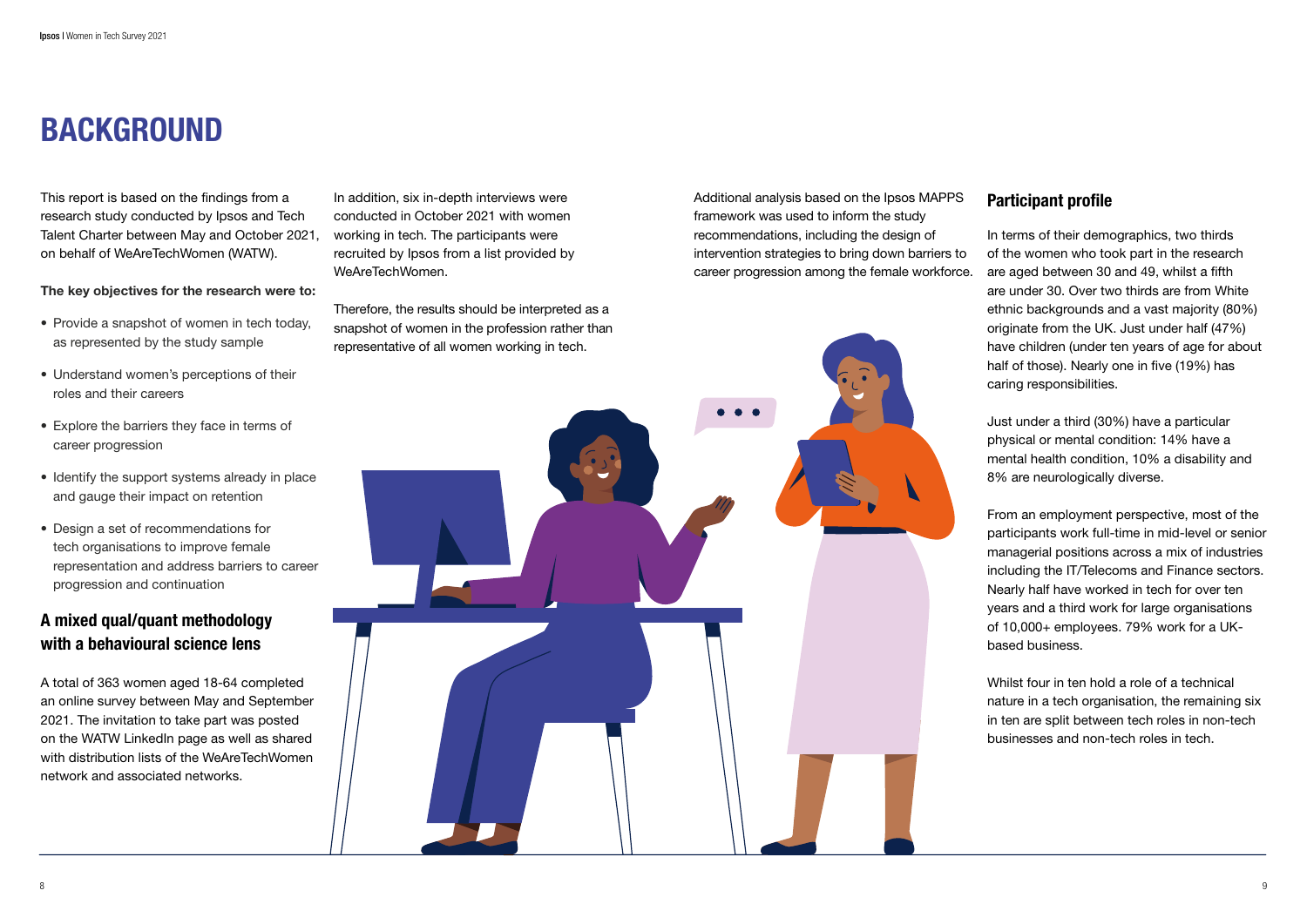# BACKGROUND

This report is based on the findings from a research study conducted by Ipsos and Tech Talent Charter between May and October 2021, on behalf of WeAreTechWomen (WATW).

The key objectives for the research were to:

### A mixed qual/quant methodology with a behavioural science lens

- Provide a snapshot of women in tech today, as represented by the study sample
- Understand women's perceptions of their roles and their careers
- Explore the barriers they face in terms of career progression
- Identify the support systems already in place and gauge their impact on retention
- Design a set of recommendations for tech organisations to improve female representation and address barriers to career progression and continuation

A total of 363 women aged 18-64 completed an online survey between May and September 2021. The invitation to take part was posted on the WATW LinkedIn page as well as shared with distribution lists of the WeAreTechWomen network and associated networks.

In addition, six in-depth interviews were conducted in October 2021 with women working in tech. The participants were recruited by Ipsos from a list provided by WeAreTechWomen.

Therefore, the results should be interpreted as a snapshot of women in the profession rather than representative of all women working in tech.

Additional analysis based on the Ipsos MAPPS framework was used to inform the study recommendations, including the design of intervention strategies to bring down barriers to career progression among the female workforce.



### Participant profile

In terms of their demographics, two thirds of the women who took part in the research are aged between 30 and 49, whilst a fifth are under 30. Over two thirds are from White ethnic backgrounds and a vast majority (80%) originate from the UK. Just under half (47%) have children (under ten years of age for about half of those). Nearly one in five (19%) has caring responsibilities.

Just under a third (30%) have a particular physical or mental condition: 14% have a mental health condition, 10% a disability and 8% are neurologically diverse.

From an employment perspective, most of the participants work full-time in mid-level or senior managerial positions across a mix of industries including the IT/Telecoms and Finance sectors. Nearly half have worked in tech for over ten years and a third work for large organisations of 10,000+ employees. 79% work for a UKbased business.

Whilst four in ten hold a role of a technical nature in a tech organisation, the remaining six in ten are split between tech roles in non-tech businesses and non-tech roles in tech.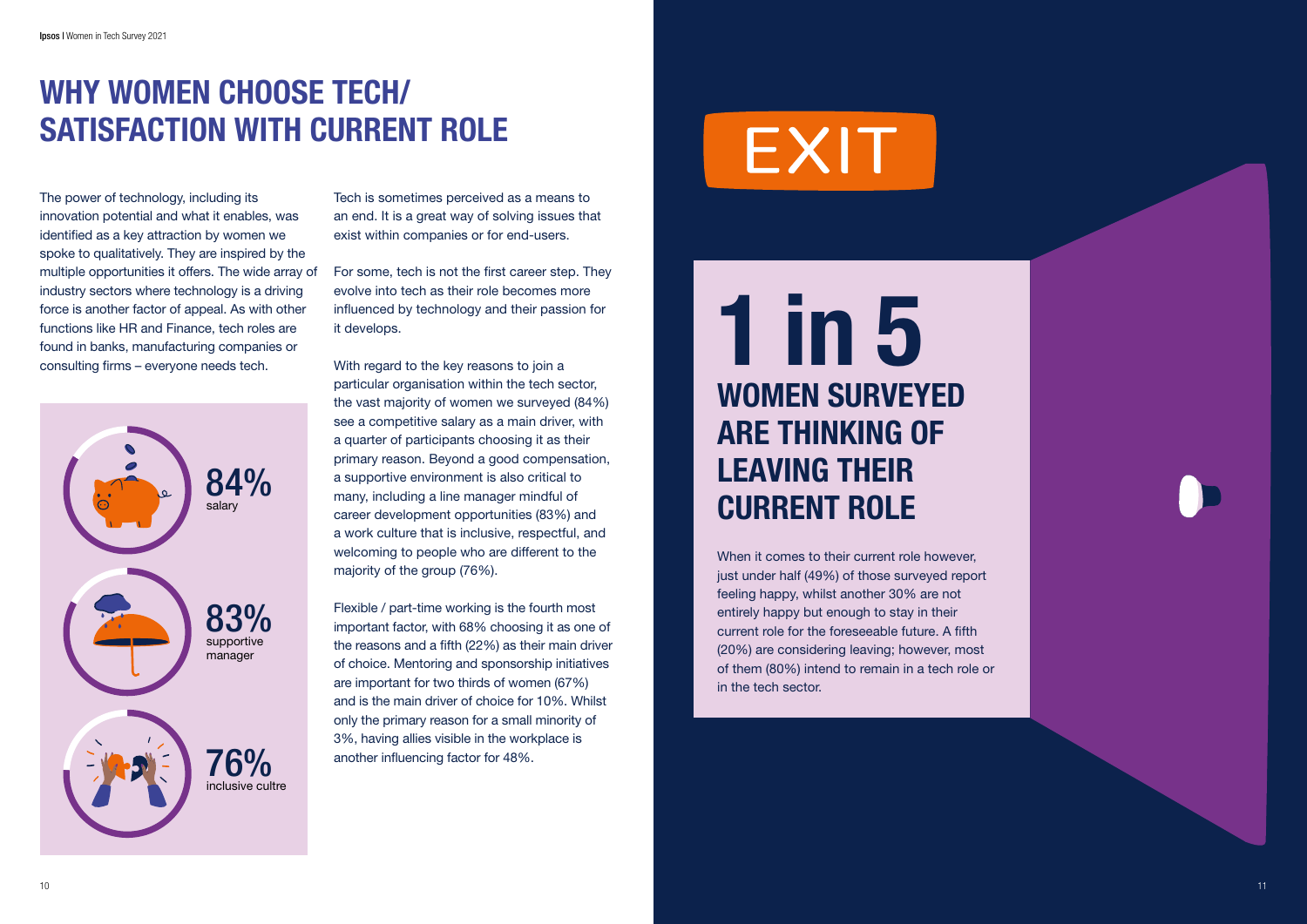# WHY WOMEN CHOOSE TECH/ SATISFACTION WITH CURRENT ROLE

The power of technology, including its innovation potential and what it enables, was identified as a key attraction by women we spoke to qualitatively. They are inspired by the multiple opportunities it offers. The wide array of industry sectors where technology is a driving force is another factor of appeal. As with other functions like HR and Finance, tech roles are found in banks, manufacturing companies or consulting firms – everyone needs tech.

Tech is sometimes perceived as a means to an end. It is a great way of solving issues that exist within companies or for end-users.

For some, tech is not the first career step. They evolve into tech as their role becomes more influenced by technology and their passion for it develops.



With regard to the key reasons to join a particular organisation within the tech sector, the vast majority of women we surveyed (84%) see a competitive salary as a main driver, with a quarter of participants choosing it as their primary reason. Beyond a good compensation, a supportive environment is also critical to many, including a line manager mindful of career development opportunities (83%) and a work culture that is inclusive, respectful, and welcoming to people who are different to the majority of the group (76%).

Flexible / part-time working is the fourth most important factor, with 68% choosing it as one of the reasons and a fifth (22%) as their main driver of choice. Mentoring and sponsorship initiatives are important for two thirds of women (67%) and is the main driver of choice for 10%. Whilst only the primary reason for a small minority of 3%, having allies visible in the workplace is another influencing factor for 48%.

# EXIT

# 1 in 5 WOMEN SURVEYED ARE THINKING OF LEAVING THEIR CURRENT ROLE

When it comes to their current role however, just under half (49%) of those surveyed report feeling happy, whilst another 30% are not entirely happy but enough to stay in their current role for the foreseeable future. A fifth (20%) are considering leaving; however, most of them (80%) intend to remain in a tech role or in the tech sector.

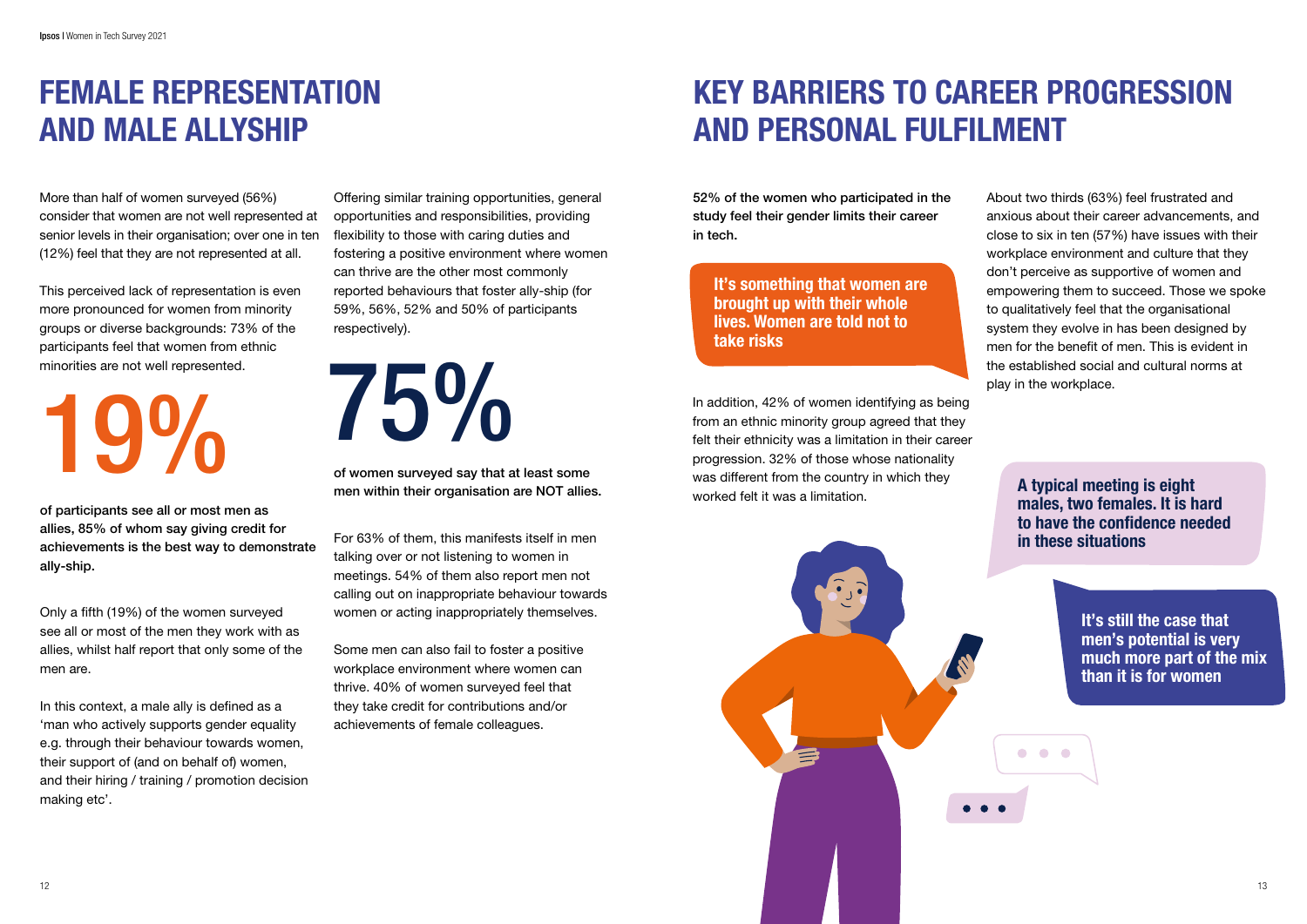

# FEMALE REPRESENTATION AND MALE ALLYSHIP

More than half of women surveyed (56%) consider that women are not well represented at senior levels in their organisation; over one in ten (12%) feel that they are not represented at all.

This perceived lack of representation is even more pronounced for women from minority groups or diverse backgrounds: 73% of the participants feel that women from ethnic minorities are not well represented.

19% 75%

of participants see all or most men as allies, 85% of whom say giving credit for achievements is the best way to demonstrate ally-ship.

Only a fifth (19%) of the women surveyed see all or most of the men they work with as allies, whilst half report that only some of the men are.

In this context, a male ally is defined as a 'man who actively supports gender equality e.g. through their behaviour towards women, their support of (and on behalf of) women, and their hiring / training / promotion decision making etc'.

Offering similar training opportunities, general opportunities and responsibilities, providing flexibility to those with caring duties and fostering a positive environment where women can thrive are the other most commonly reported behaviours that foster ally-ship (for 59%, 56%, 52% and 50% of participants respectively).

of women surveyed say that at least some men within their organisation are NOT allies.

For 63% of them, this manifests itself in men talking over or not listening to women in meetings. 54% of them also report men not calling out on inappropriate behaviour towards women or acting inappropriately themselves.

Some men can also fail to foster a positive workplace environment where women can thrive. 40% of women surveyed feel that they take credit for contributions and/or achievements of female colleagues.

# KEY BARRIERS TO CAREER PROGRESSION AND PERSONAL FULFILMENT

52% of the women who participated in the study feel their gender limits their career in tech.

About two thirds (63%) feel frustrated and anxious about their career advancements, and close to six in ten (57%) have issues with their workplace environment and culture that they don't perceive as supportive of women and empowering them to succeed. Those we spoke to qualitatively feel that the organisational system they evolve in has been designed by men for the benefit of men. This is evident in the established social and cultural norms at play in the workplace.

> A typical meeting is eight males, two females. It is hard to have the confidence needed in these situations

 $\bullet\quad \bullet\quad \bullet$ 

It's still the case that men's potential is very much more part of the mix than it is for women

It's something that women are brought up with their whole lives. Women are told not to take risks

In addition, 42% of women identifying as being from an ethnic minority group agreed that they felt their ethnicity was a limitation in their career progression. 32% of those whose nationality was different from the country in which they worked felt it was a limitation.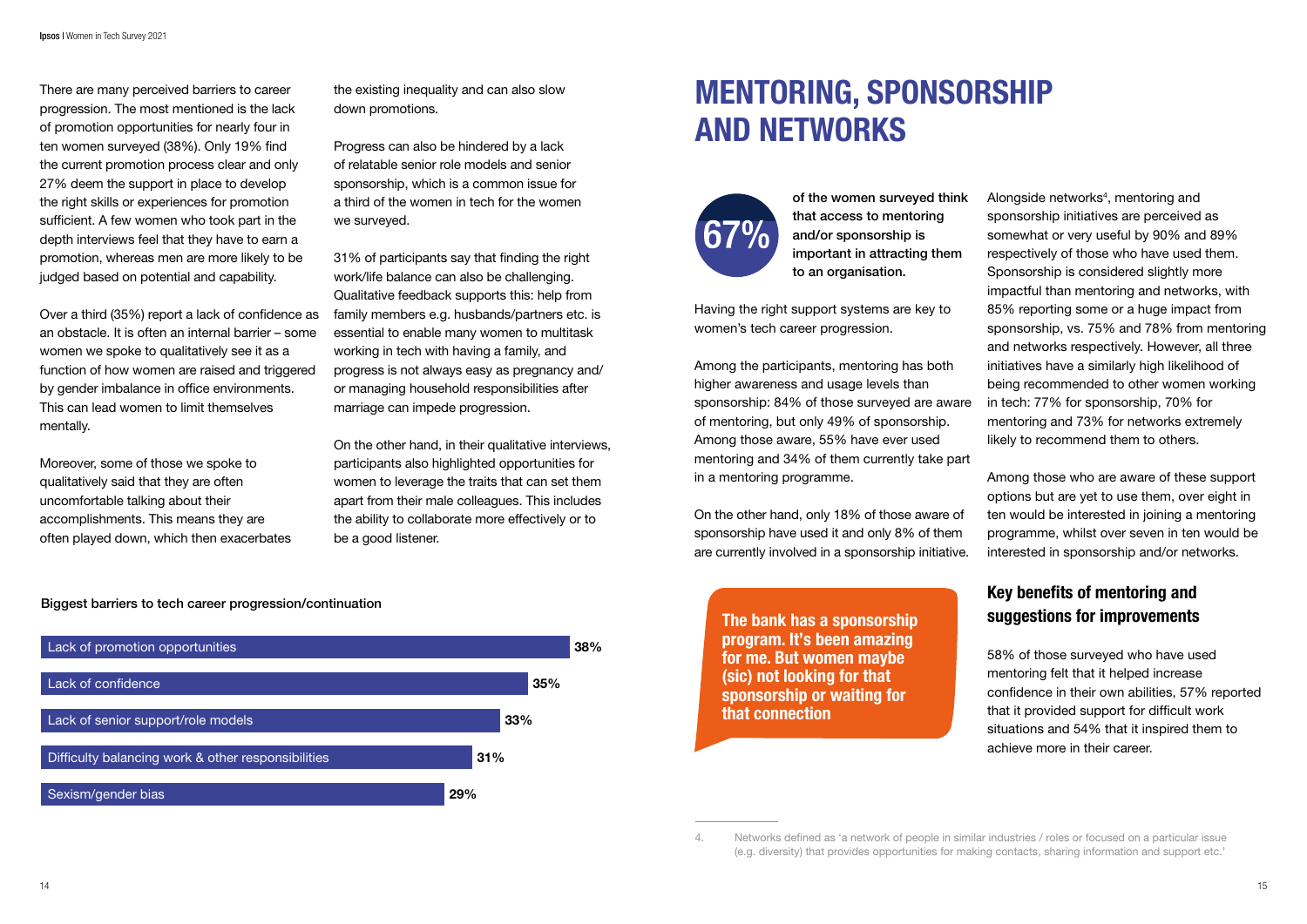### Biggest barriers to tech career progression/continuation



There are many perceived barriers to career progression. The most mentioned is the lack of promotion opportunities for nearly four in ten women surveyed (38%). Only 19% find the current promotion process clear and only 27% deem the support in place to develop the right skills or experiences for promotion sufficient. A few women who took part in the depth interviews feel that they have to earn a promotion, whereas men are more likely to be judged based on potential and capability.

Over a third (35%) report a lack of confidence as an obstacle. It is often an internal barrier – some women we spoke to qualitatively see it as a function of how women are raised and triggered by gender imbalance in office environments. This can lead women to limit themselves mentally.

Moreover, some of those we spoke to qualitatively said that they are often uncomfortable talking about their accomplishments. This means they are often played down, which then exacerbates the existing inequality and can also slow down promotions.

Progress can also be hindered by a lack of relatable senior role models and senior sponsorship, which is a common issue for a third of the women in tech for the women we surveyed.

31% of participants say that finding the right work/life balance can also be challenging. Qualitative feedback supports this: help from family members e.g. husbands/partners etc. is essential to enable many women to multitask working in tech with having a family, and progress is not always easy as pregnancy and/ or managing household responsibilities after marriage can impede progression.

Alongside networks<sup>4</sup>, mentoring and sponsorship initiatives are perceived as somewhat or very useful by 90% and 89% respectively of those who have used them. Sponsorship is considered slightly more impactful than mentoring and networks, with 85% reporting some or a huge impact from sponsorship, vs. 75% and 78% from mentoring and networks respectively. However, all three initiatives have a similarly high likelihood of being recommended to other women working in tech: 77% for sponsorship, 70% for mentoring and 73% for networks extremely likely to recommend them to others.

On the other hand, in their qualitative interviews, participants also highlighted opportunities for women to leverage the traits that can set them apart from their male colleagues. This includes the ability to collaborate more effectively or to be a good listener.

# MENTORING, SPONSORSHIP AND NETWORKS



of the women surveyed think that access to mentoring and/or sponsorship is important in attracting them to an organisation.

Having the right support systems are key to women's tech career progression.

Among the participants, mentoring has both higher awareness and usage levels than sponsorship: 84% of those surveyed are aware of mentoring, but only 49% of sponsorship. Among those aware, 55% have ever used mentoring and 34% of them currently take part in a mentoring programme.

On the other hand, only 18% of those aware of sponsorship have used it and only 8% of them are currently involved in a sponsorship initiative.

Among those who are aware of these support options but are yet to use them, over eight in ten would be interested in joining a mentoring programme, whilst over seven in ten would be interested in sponsorship and/or networks.

### Key benefits of mentoring and suggestions for improvements

58% of those surveyed who have used mentoring felt that it helped increase confidence in their own abilities, 57% reported that it provided support for difficult work situations and 54% that it inspired them to achieve more in their career.

The bank has a sponsorship program. It's been amazing for me. But women maybe (sic) not looking for that sponsorship or waiting for that connection

<sup>4.</sup> Networks defined as 'a network of people in similar industries / roles or focused on a particular issue (e.g. diversity) that provides opportunities for making contacts, sharing information and support etc.'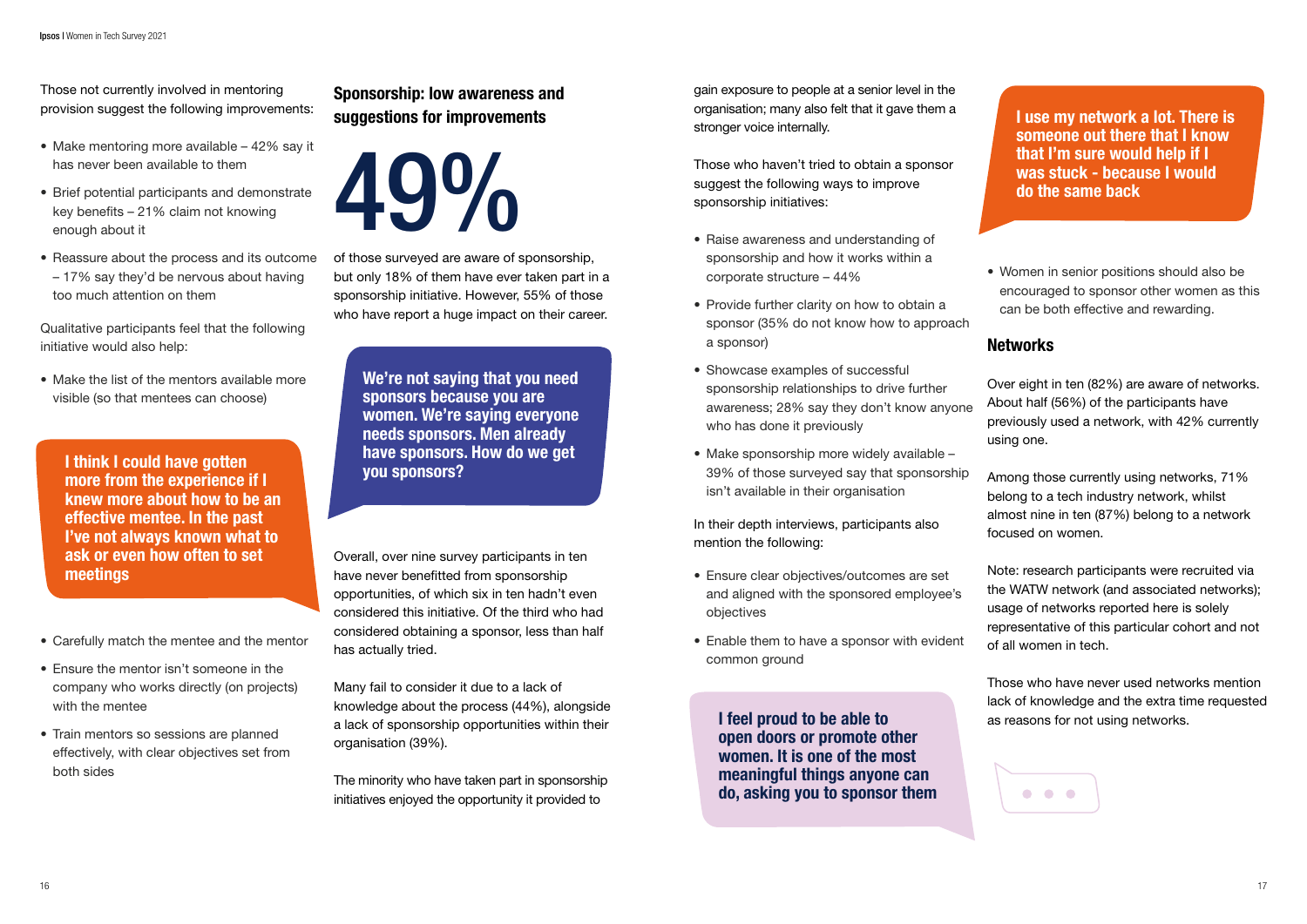I think I could have gotten more from the experience if I knew more about how to be an effective mentee. In the past I've not always known what to ask or even how often to set meetings

We're not saying that you need sponsors because you are women. We're saying everyone needs sponsors. Men already have sponsors. How do we get you sponsors?

Those not currently involved in mentoring provision suggest the following improvements:

- Make mentoring more available 42% say it has never been available to them
- Brief potential participants and demonstrate key benefits – 21% claim not knowing enough about it
- Reassure about the process and its outcome – 17% say they'd be nervous about having too much attention on them

Qualitative participants feel that the following initiative would also help:

• Make the list of the mentors available more visible (so that mentees can choose)

### Sponsorship: low awareness and suggestions for improvements

19%

- Carefully match the mentee and the mentor
- Ensure the mentor isn't someone in the company who works directly (on projects) with the mentee
- Train mentors so sessions are planned effectively, with clear objectives set from both sides

of those surveyed are aware of sponsorship, but only 18% of them have ever taken part in a sponsorship initiative. However, 55% of those who have report a huge impact on their career.

Overall, over nine survey participants in ten have never benefitted from sponsorship opportunities, of which six in ten hadn't even considered this initiative. Of the third who had considered obtaining a sponsor, less than half has actually tried.

Many fail to consider it due to a lack of knowledge about the process (44%), alongside a lack of sponsorship opportunities within their organisation (39%).

The minority who have taken part in sponsorship initiatives enjoyed the opportunity it provided to

I feel proud to be able to open doors or promote other women. It is one of the most meaningful things anyone can do, asking you to sponsor them

I use my network a lot. There is someone out there that I know that I'm sure would help if I was stuck - because I would do the same back

gain exposure to people at a senior level in the organisation; many also felt that it gave them a stronger voice internally.

Those who haven't tried to obtain a sponsor suggest the following ways to improve sponsorship initiatives:

- Raise awareness and understanding of sponsorship and how it works within a corporate structure – 44%
- Provide further clarity on how to obtain a sponsor (35% do not know how to approach a sponsor)
- Showcase examples of successful sponsorship relationships to drive further awareness; 28% say they don't know anyone who has done it previously
- Make sponsorship more widely available 39% of those surveyed say that sponsorship isn't available in their organisation

In their depth interviews, participants also mention the following:

- Ensure clear objectives/outcomes are set and aligned with the sponsored employee's objectives
- Enable them to have a sponsor with evident common ground

• Women in senior positions should also be encouraged to sponsor other women as this can be both effective and rewarding.

### **Networks**

Over eight in ten (82%) are aware of networks. About half (56%) of the participants have previously used a network, with 42% currently using one.

Among those currently using networks, 71% belong to a tech industry network, whilst almost nine in ten (87%) belong to a network focused on women.

Note: research participants were recruited via the WATW network (and associated networks); usage of networks reported here is solely representative of this particular cohort and not of all women in tech.

Those who have never used networks mention lack of knowledge and the extra time requested as reasons for not using networks.

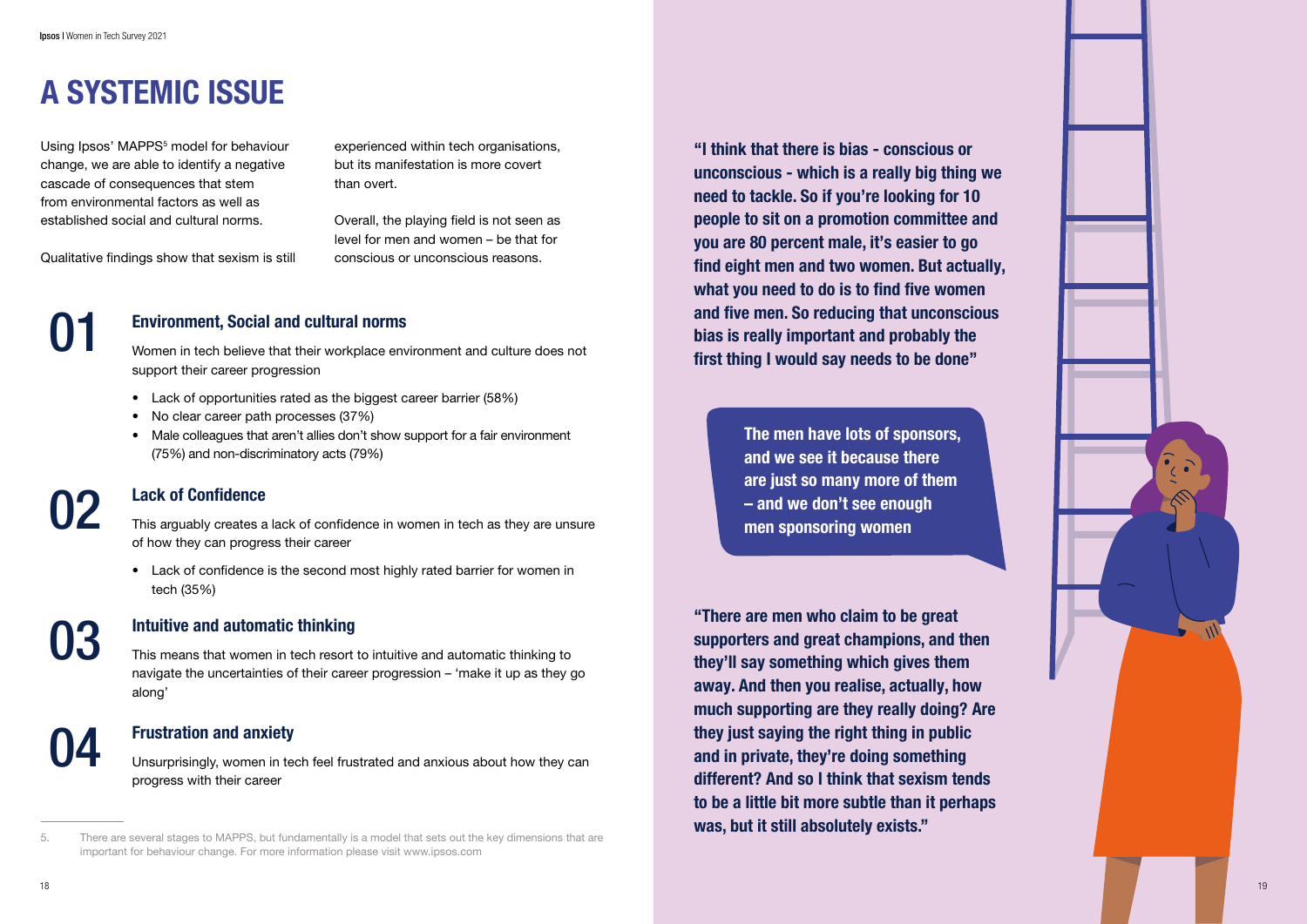

# A SYSTEMIC ISSUE

Using Ipsos' MAPPS 5 model for behaviour change, we are able to identify a negative cascade of consequences that stem from environmental factors as well as established social and cultural norms.

Qualitative findings show that sexism is still

experienced within tech organisations, but its manifestation is more covert than overt.

Overall, the playing field is not seen as level for men and women – be that for conscious or unconscious reasons.

### Environment, Social and cultural norms

Women in tech believe that their workplace environment and culture does not support their career progression

- Lack of opportunities rated as the biggest career barrier (58%)
- No clear career path processes (37%)
- Male colleagues that aren't allies don't show support for a fair environment (75%) and non-discriminatory acts (79%)

### Lack of Confidence

This arguably creates a lack of confidence in women in tech as they are unsure of how they can progress their career

• Lack of confidence is the second most highly rated barrier for women in tech (35%)

### Intuitive and automatic thinking

This means that women in tech resort to intuitive and automatic thinking to navigate the uncertainties of their career progression – 'make it up as they go along'

### Frustration and anxiety

Unsurprisingly, women in tech feel frustrated and anxious about how they can progress with their career

# 01

# 02

03

# 04

"I think that there is bias - conscious or unconscious - which is a really big thing we need to tackle. So if you're looking for 10 people to sit on a promotion committee and you are 80 percent male, it's easier to go find eight men and two women. But actually, what you need to do is to find five women and five men. So reducing that unconscious bias is really important and probably the first thing I would say needs to be done"

> The men have lots of sponsors, and we see it because there are just so many more of them – and we don't see enough men sponsoring women

"There are men who claim to be great supporters and great champions, and then they'll say something which gives them away. And then you realise, actually, how much supporting are they really doing? Are they just saying the right thing in public and in private, they're doing something different? And so I think that sexism tends to be a little bit more subtle than it perhaps was, but it still absolutely exists."

There are several stages to MAPPS, but fundamentally is a model that sets out the key dimensions that are important for behaviour change. For more information please visit www.ipsos.com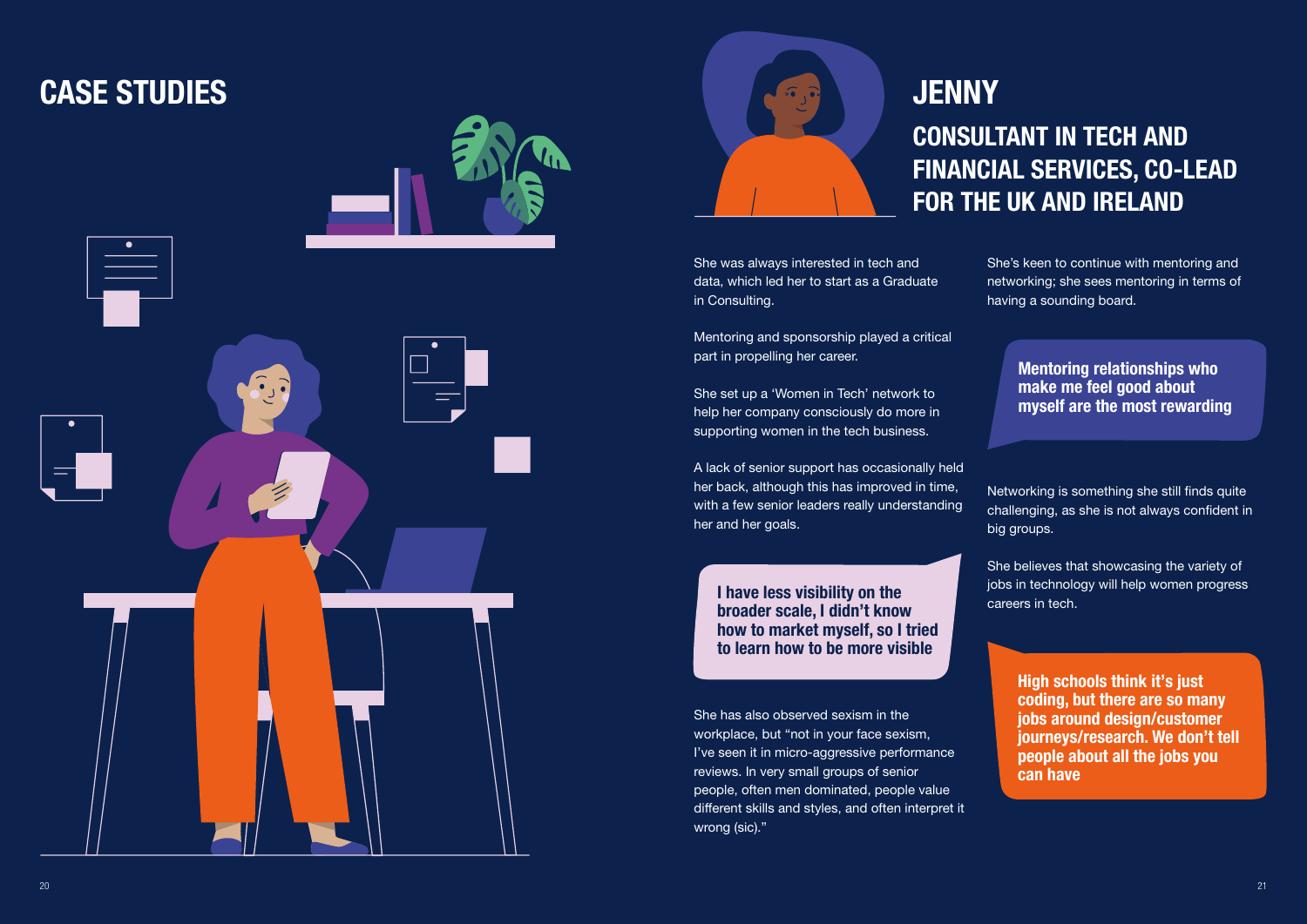She was always interested in tech and data, which led her to start as a Graduate in Consulting.

Mentoring and sponsorship played a critical part in propelling her career.

She set up a 'Women in Tech' network to help her company consciously do more in supporting women in the tech business.

A lack of senior support has occasionally held her back, although this has improved in time, with a few senior leaders really understanding her and her goals.

She's keen to continue with mentoring and networking; she sees mentoring in terms of having a sounding board.

# CONSULTANT IN TECH AND FINANCIAL SERVICES, CO-LEAD FOR THE UK AND IRELAND

I have less visibility on the broader scale, I didn't know how to market myself, so I tried to learn how to be more visible

She has also observed sexism in the workplace, but "not in your face sexism, I've seen it in micro-aggressive performance reviews. In very small groups of senior people, often men dominated, people value different skills and styles, and often interpret it wrong (sic)."

Mentoring relationships who make me feel good about myself are the most rewarding

Networking is something she still finds quite challenging, as she is not always confident in big groups.

She believes that showcasing the variety of jobs in technology will help women progress careers in tech.

> High schools think it's just coding, but there are so many jobs around design/customer journeys/research. We don't tell people about all the jobs you can have

# CASE STUDIES



**JENNY**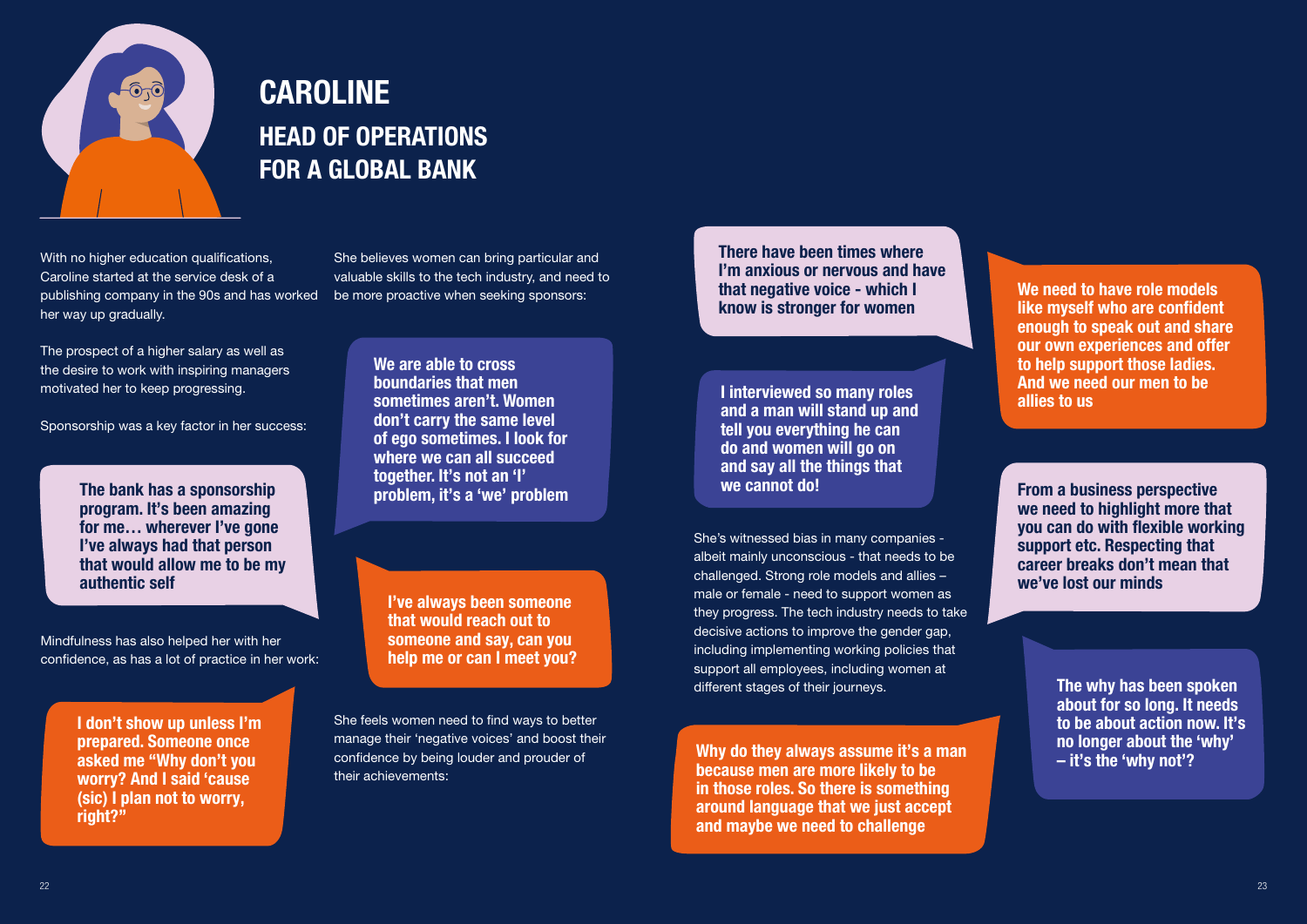

# CAROLINE HEAD OF OPERATIONS FOR A GLOBAL BANK

With no higher education qualifications, Caroline started at the service desk of a publishing company in the 90s and has worked her way up gradually.

The prospect of a higher salary as well as the desire to work with inspiring managers motivated her to keep progressing.

Sponsorship was a key factor in her success:

The bank has a sponsorship program. It's been amazing for me… wherever I've gone I've always had that person that would allow me to be my authentic self

We are able to cross boundaries that men sometimes aren't. Women don't carry the same level of ego sometimes. I look for where we can all succeed together. It's not an 'I' problem, it's a 'we' problem

I don't show up unless I'm prepared. Someone once asked me "Why don't you worry? And I said 'cause (sic) I plan not to worry, right?"

I've always been someone that would reach out to someone and say, can you help me or can I meet you?

> Why do they always assume it's a man because men are more likely to be in those roles. So there is something around language that we just accept and maybe we need to challenge

Mindfulness has also helped her with her confidence, as has a lot of practice in her work:

> She feels women need to find ways to better manage their 'negative voices' and boost their confidence by being louder and prouder of their achievements:

She believes women can bring particular and valuable skills to the tech industry, and need to be more proactive when seeking sponsors:

> She's witnessed bias in many companies albeit mainly unconscious - that needs to be challenged. Strong role models and allies – male or female - need to support women as they progress. The tech industry needs to take decisive actions to improve the gender gap, including implementing working policies that support all employees, including women at different stages of their journeys.

I interviewed so many roles and a man will stand up and tell you everything he can do and women will go on and say all the things that we cannot do!

> The why has been spoken about for so long. It needs to be about action now. It's no longer about the 'why' – it's the 'why not'?

There have been times where I'm anxious or nervous and have that negative voice - which I know is stronger for women

We need to have role models like myself who are confident enough to speak out and share our own experiences and offer to help support those ladies. And we need our men to be allies to us

From a business perspective we need to highlight more that you can do with flexible working support etc. Respecting that career breaks don't mean that we've lost our minds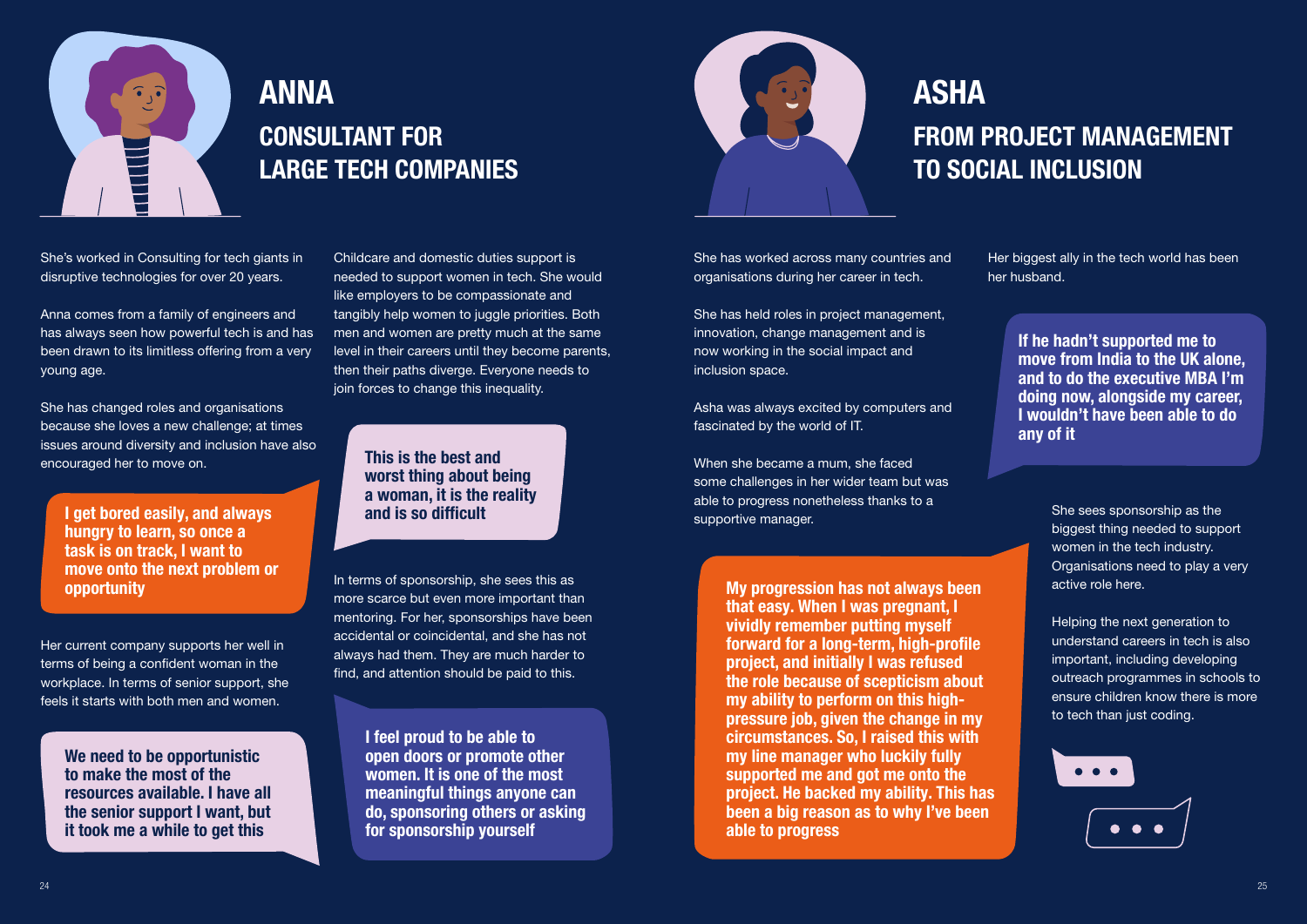

Her current company supports her well in terms of being a confident woman in the workplace. In terms of senior support, she feels it starts with both men and women.

> I feel proud to be able to open doors or promote other women. It is one of the most meaningful things anyone can do, sponsoring others or asking for sponsorship yourself



I get bored easily, and always hungry to learn, so once a task is on track, I want to move onto the next problem or opportunity

We need to be opportunistic to make the most of the resources available. I have all the senior support I want, but it took me a while to get this

Childcare and domestic duties support is needed to support women in tech. She would like employers to be compassionate and tangibly help women to juggle priorities. Both men and women are pretty much at the same level in their careers until they become parents, then their paths diverge. Everyone needs to join forces to change this inequality.

In terms of sponsorship, she sees this as more scarce but even more important than mentoring. For her, sponsorships have been accidental or coincidental, and she has not always had them. They are much harder to find, and attention should be paid to this.

This is the best and worst thing about being a woman, it is the reality and is so difficult

# ANNA CONSULTANT FOR LARGE TECH COMPANIES

She's worked in Consulting for tech giants in disruptive technologies for over 20 years.

Anna comes from a family of engineers and has always seen how powerful tech is and has been drawn to its limitless offering from a very young age.

She has changed roles and organisations because she loves a new challenge; at times issues around diversity and inclusion have also encouraged her to move on.

She has worked across many countries and organisations during her career in tech.

She has held roles in project management, innovation, change management and is now working in the social impact and inclusion space.

Asha was always excited by computers and fascinated by the world of IT.

When she became a mum, she faced some challenges in her wider team but was able to progress nonetheless thanks to a supportive manager.

Her biggest ally in the tech world has been her husband.

> If he hadn't supported me to move from India to the UK alone, and to do the executive MBA I'm doing now, alongside my career, I wouldn't have been able to do any of it

My progression has not always been that easy. When I was pregnant, I vividly remember putting myself forward for a long-term, high-profile project, and initially I was refused the role because of scepticism about my ability to perform on this highpressure job, given the change in my circumstances. So, I raised this with my line manager who luckily fully supported me and got me onto the project. He backed my ability. This has been a big reason as to why I've been able to progress

She sees sponsorship as the biggest thing needed to support women in the tech industry. Organisations need to play a very active role here.

Helping the next generation to understand careers in tech is also important, including developing outreach programmes in schools to ensure children know there is more to tech than just coding.



# ASHA

## FROM PROJECT MANAGEMENT TO SOCIAL INCLUSION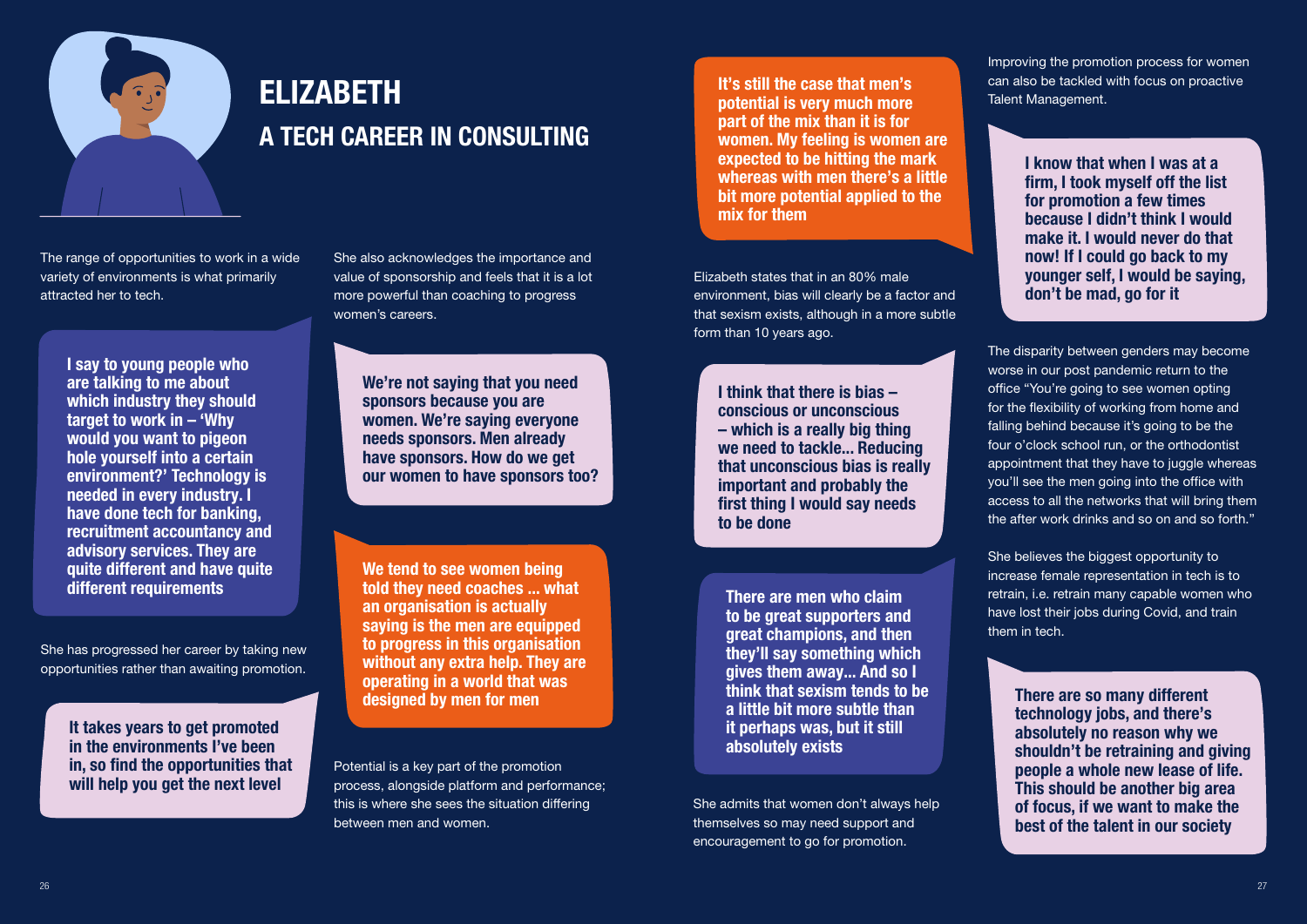

The range of opportunities to work in a wide variety of environments is what primarily attracted her to tech.

She also acknowledges the importance and value of sponsorship and feels that it is a lot more powerful than coaching to progress women's careers.

# ELIZABETH A TECH CAREER IN CONSULTING

I say to young people who are talking to me about which industry they should target to work in – 'Why would you want to pigeon hole yourself into a certain environment?' Technology is needed in every industry. I have done tech for banking, recruitment accountancy and advisory services. They are quite different and have quite different requirements

It takes years to get promoted in the environments I've been in, so find the opportunities that will help you get the next level

She has progressed her career by taking new opportunities rather than awaiting promotion. We're not saying that you need sponsors because you are women. We're saying everyone needs sponsors. Men already have sponsors. How do we get our women to have sponsors too?

We tend to see women being told they need coaches ... what an organisation is actually saying is the men are equipped to progress in this organisation without any extra help. They are operating in a world that was designed by men for men

Potential is a key part of the promotion process, alongside platform and performance; this is where she sees the situation differing between men and women.

Elizabeth states that in an 80% male environment, bias will clearly be a factor and that sexism exists, although in a more subtle form than 10 years ago.

She admits that women don't always help themselves so may need support and encouragement to go for promotion.

There are so many different technology jobs, and there's absolutely no reason why we shouldn't be retraining and giving people a whole new lease of life. This should be another big area of focus, if we want to make the best of the talent in our society

It's still the case that men's potential is very much more part of the mix than it is for women. My feeling is women are expected to be hitting the mark whereas with men there's a little bit more potential applied to the mix for them

I think that there is bias – conscious or unconscious – which is a really big thing we need to tackle... Reducing that unconscious bias is really important and probably the first thing I would say needs to be done

I know that when I was at a firm, I took myself off the list for promotion a few times because I didn't think I would make it. I would never do that now! If I could go back to my younger self, I would be saying, don't be mad, go for it

There are men who claim to be great supporters and great champions, and then they'll say something which gives them away... And so I think that sexism tends to be a little bit more subtle than it perhaps was, but it still absolutely exists

The disparity between genders may become worse in our post pandemic return to the office "You're going to see women opting for the flexibility of working from home and falling behind because it's going to be the four o'clock school run, or the orthodontist appointment that they have to juggle whereas you'll see the men going into the office with access to all the networks that will bring them the after work drinks and so on and so forth."

She believes the biggest opportunity to increase female representation in tech is to retrain, i.e. retrain many capable women who have lost their jobs during Covid, and train them in tech.

Improving the promotion process for women can also be tackled with focus on proactive Talent Management.